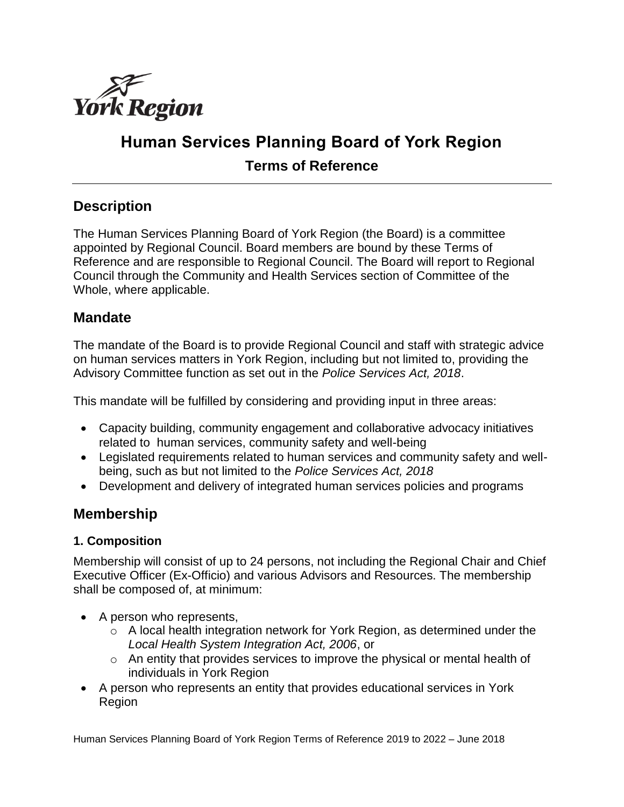

# **Human Services Planning Board of York Region Terms of Reference**

## **Description**

The Human Services Planning Board of York Region (the Board) is a committee appointed by Regional Council. Board members are bound by these Terms of Reference and are responsible to Regional Council. The Board will report to Regional Council through the Community and Health Services section of Committee of the Whole, where applicable.

## **Mandate**

The mandate of the Board is to provide Regional Council and staff with strategic advice on human services matters in York Region, including but not limited to, providing the Advisory Committee function as set out in the *Police Services Act, 2018*.

This mandate will be fulfilled by considering and providing input in three areas:

- Capacity building, community engagement and collaborative advocacy initiatives related to human services, community safety and well-being
- Legislated requirements related to human services and community safety and wellbeing, such as but not limited to the *Police Services Act, 2018*
- Development and delivery of integrated human services policies and programs

## **Membership**

## **1. Composition**

Membership will consist of up to 24 persons, not including the Regional Chair and Chief Executive Officer (Ex-Officio) and various Advisors and Resources. The membership shall be composed of, at minimum:

- A person who represents,
	- o A local health integration network for York Region, as determined under the *Local Health System Integration Act, 2006*, or
	- $\circ$  An entity that provides services to improve the physical or mental health of individuals in York Region
- A person who represents an entity that provides educational services in York Region

Human Services Planning Board of York Region Terms of Reference 2019 to 2022 – June 2018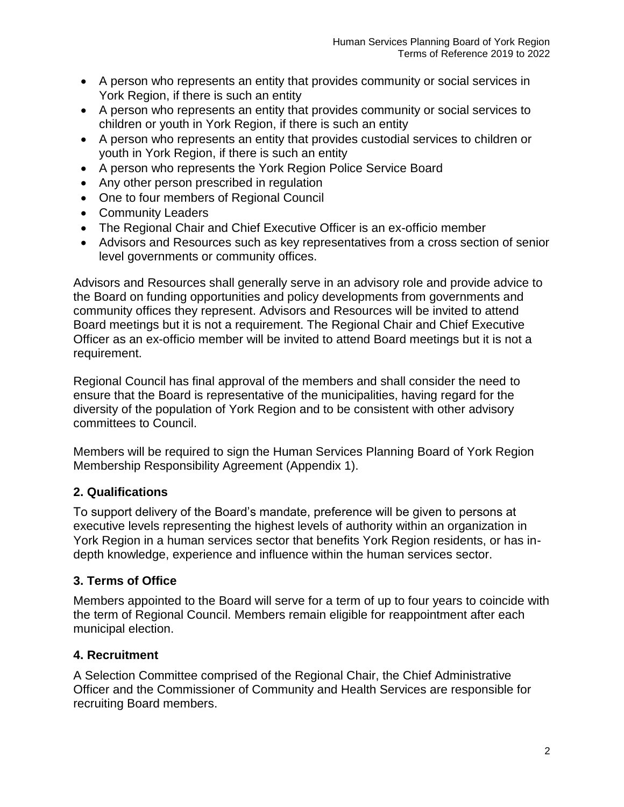- A person who represents an entity that provides community or social services in York Region, if there is such an entity
- A person who represents an entity that provides community or social services to children or youth in York Region, if there is such an entity
- A person who represents an entity that provides custodial services to children or youth in York Region, if there is such an entity
- A person who represents the York Region Police Service Board
- Any other person prescribed in regulation
- One to four members of Regional Council
- Community Leaders
- The Regional Chair and Chief Executive Officer is an ex-officio member
- Advisors and Resources such as key representatives from a cross section of senior level governments or community offices.

Advisors and Resources shall generally serve in an advisory role and provide advice to the Board on funding opportunities and policy developments from governments and community offices they represent. Advisors and Resources will be invited to attend Board meetings but it is not a requirement. The Regional Chair and Chief Executive Officer as an ex-officio member will be invited to attend Board meetings but it is not a requirement.

Regional Council has final approval of the members and shall consider the need to ensure that the Board is representative of the municipalities, having regard for the diversity of the population of York Region and to be consistent with other advisory committees to Council.

Members will be required to sign the Human Services Planning Board of York Region Membership Responsibility Agreement (Appendix 1).

## **2. Qualifications**

To support delivery of the Board's mandate, preference will be given to persons at executive levels representing the highest levels of authority within an organization in York Region in a human services sector that benefits York Region residents, or has indepth knowledge, experience and influence within the human services sector.

#### **3. Terms of Office**

Members appointed to the Board will serve for a term of up to four years to coincide with the term of Regional Council. Members remain eligible for reappointment after each municipal election.

## **4. Recruitment**

A Selection Committee comprised of the Regional Chair, the Chief Administrative Officer and the Commissioner of Community and Health Services are responsible for recruiting Board members.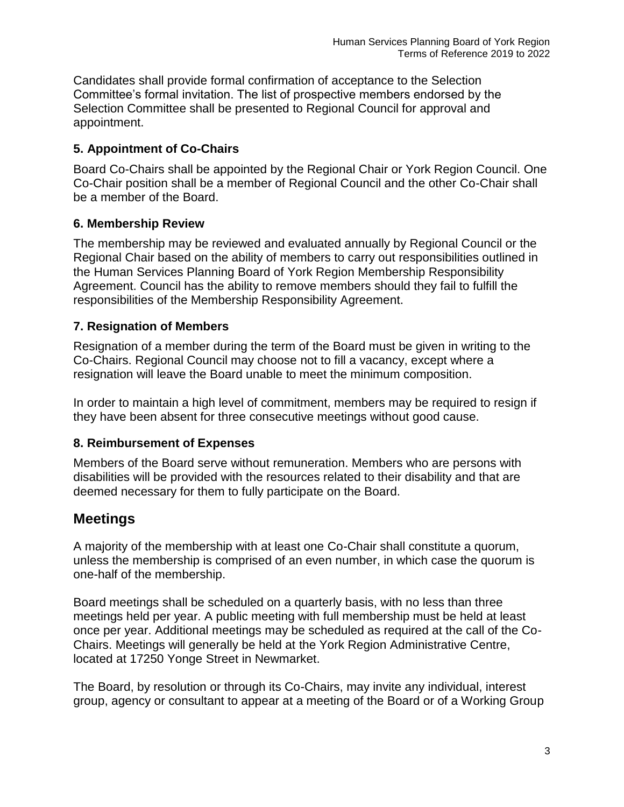Candidates shall provide formal confirmation of acceptance to the Selection Committee's formal invitation. The list of prospective members endorsed by the Selection Committee shall be presented to Regional Council for approval and appointment.

## **5. Appointment of Co-Chairs**

Board Co-Chairs shall be appointed by the Regional Chair or York Region Council. One Co-Chair position shall be a member of Regional Council and the other Co-Chair shall be a member of the Board.

## **6. Membership Review**

The membership may be reviewed and evaluated annually by Regional Council or the Regional Chair based on the ability of members to carry out responsibilities outlined in the Human Services Planning Board of York Region Membership Responsibility Agreement. Council has the ability to remove members should they fail to fulfill the responsibilities of the Membership Responsibility Agreement.

## **7. Resignation of Members**

Resignation of a member during the term of the Board must be given in writing to the Co-Chairs. Regional Council may choose not to fill a vacancy, except where a resignation will leave the Board unable to meet the minimum composition.

In order to maintain a high level of commitment, members may be required to resign if they have been absent for three consecutive meetings without good cause.

## **8. Reimbursement of Expenses**

Members of the Board serve without remuneration. Members who are persons with disabilities will be provided with the resources related to their disability and that are deemed necessary for them to fully participate on the Board.

## **Meetings**

A majority of the membership with at least one Co-Chair shall constitute a quorum, unless the membership is comprised of an even number, in which case the quorum is one-half of the membership.

Board meetings shall be scheduled on a quarterly basis, with no less than three meetings held per year. A public meeting with full membership must be held at least once per year. Additional meetings may be scheduled as required at the call of the Co-Chairs. Meetings will generally be held at the York Region Administrative Centre, located at 17250 Yonge Street in Newmarket.

The Board, by resolution or through its Co-Chairs, may invite any individual, interest group, agency or consultant to appear at a meeting of the Board or of a Working Group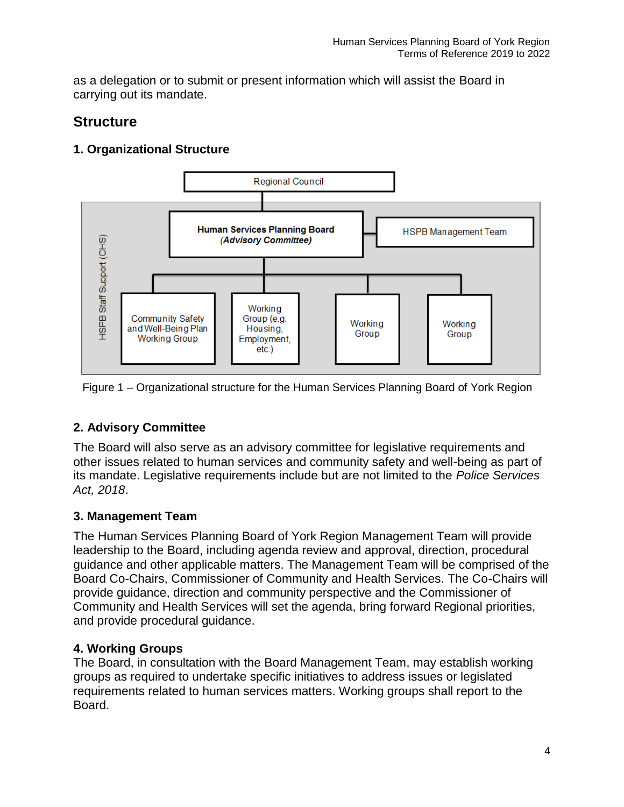as a delegation or to submit or present information which will assist the Board in carrying out its mandate.

## **Structure**

## **1. Organizational Structure**



Figure 1 – Organizational structure for the Human Services Planning Board of York Region

## **2. Advisory Committee**

The Board will also serve as an advisory committee for legislative requirements and other issues related to human services and community safety and well-being as part of its mandate. Legislative requirements include but are not limited to the *Police Services Act, 2018*.

## **3. Management Team**

The Human Services Planning Board of York Region Management Team will provide leadership to the Board, including agenda review and approval, direction, procedural guidance and other applicable matters. The Management Team will be comprised of the Board Co-Chairs, Commissioner of Community and Health Services. The Co-Chairs will provide guidance, direction and community perspective and the Commissioner of Community and Health Services will set the agenda, bring forward Regional priorities, and provide procedural guidance.

## **4. Working Groups**

The Board, in consultation with the Board Management Team, may establish working groups as required to undertake specific initiatives to address issues or legislated requirements related to human services matters. Working groups shall report to the Board.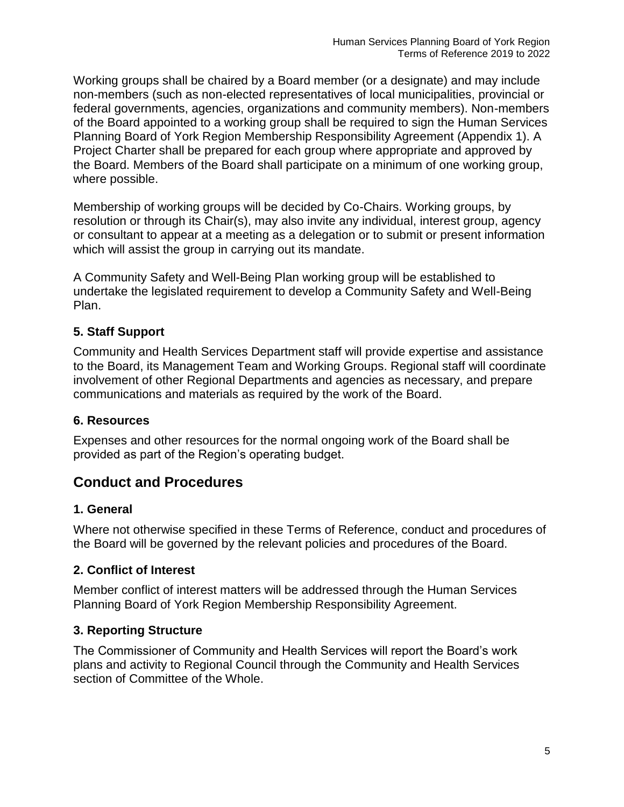Working groups shall be chaired by a Board member (or a designate) and may include non-members (such as non-elected representatives of local municipalities, provincial or federal governments, agencies, organizations and community members). Non-members of the Board appointed to a working group shall be required to sign the Human Services Planning Board of York Region Membership Responsibility Agreement (Appendix 1). A Project Charter shall be prepared for each group where appropriate and approved by the Board. Members of the Board shall participate on a minimum of one working group, where possible.

Membership of working groups will be decided by Co-Chairs. Working groups, by resolution or through its Chair(s), may also invite any individual, interest group, agency or consultant to appear at a meeting as a delegation or to submit or present information which will assist the group in carrying out its mandate.

A Community Safety and Well-Being Plan working group will be established to undertake the legislated requirement to develop a Community Safety and Well-Being Plan.

## **5. Staff Support**

Community and Health Services Department staff will provide expertise and assistance to the Board, its Management Team and Working Groups. Regional staff will coordinate involvement of other Regional Departments and agencies as necessary, and prepare communications and materials as required by the work of the Board.

## **6. Resources**

Expenses and other resources for the normal ongoing work of the Board shall be provided as part of the Region's operating budget.

## **Conduct and Procedures**

## **1. General**

Where not otherwise specified in these Terms of Reference, conduct and procedures of the Board will be governed by the relevant policies and procedures of the Board.

## **2. Conflict of Interest**

Member conflict of interest matters will be addressed through the Human Services Planning Board of York Region Membership Responsibility Agreement.

## **3. Reporting Structure**

The Commissioner of Community and Health Services will report the Board's work plans and activity to Regional Council through the Community and Health Services section of Committee of the Whole.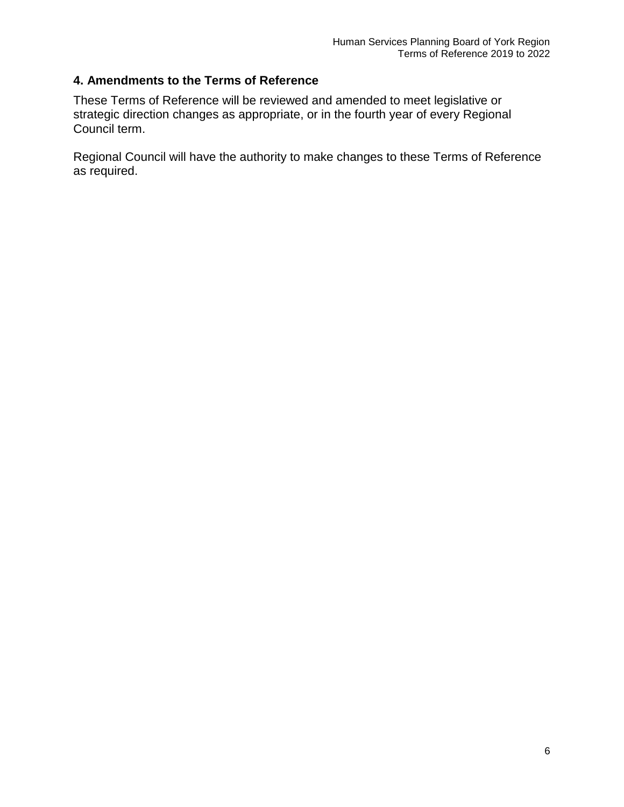#### **4. Amendments to the Terms of Reference**

These Terms of Reference will be reviewed and amended to meet legislative or strategic direction changes as appropriate, or in the fourth year of every Regional Council term.

Regional Council will have the authority to make changes to these Terms of Reference as required.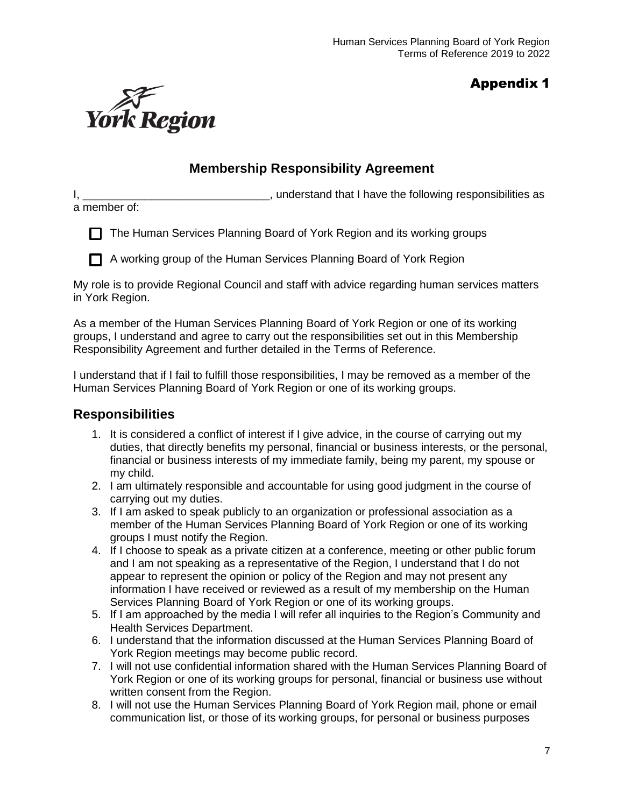## Appendix 1



## **Membership Responsibility Agreement**

I, \_\_\_\_\_\_\_\_\_\_\_\_\_\_\_\_\_\_\_\_\_\_\_\_\_\_\_\_\_\_\_\_\_\_, understand that I have the following responsibilities as

a member of:

 $\Box$  The Human Services Planning Board of York Region and its working groups

A working group of the Human Services Planning Board of York Region

My role is to provide Regional Council and staff with advice regarding human services matters in York Region.

As a member of the Human Services Planning Board of York Region or one of its working groups, I understand and agree to carry out the responsibilities set out in this Membership Responsibility Agreement and further detailed in the Terms of Reference.

I understand that if I fail to fulfill those responsibilities, I may be removed as a member of the Human Services Planning Board of York Region or one of its working groups.

## **Responsibilities**

- 1. It is considered a conflict of interest if I give advice, in the course of carrying out my duties, that directly benefits my personal, financial or business interests, or the personal, financial or business interests of my immediate family, being my parent, my spouse or my child.
- 2. I am ultimately responsible and accountable for using good judgment in the course of carrying out my duties.
- 3. If I am asked to speak publicly to an organization or professional association as a member of the Human Services Planning Board of York Region or one of its working groups I must notify the Region.
- 4. If I choose to speak as a private citizen at a conference, meeting or other public forum and I am not speaking as a representative of the Region, I understand that I do not appear to represent the opinion or policy of the Region and may not present any information I have received or reviewed as a result of my membership on the Human Services Planning Board of York Region or one of its working groups.
- 5. If I am approached by the media I will refer all inquiries to the Region's Community and Health Services Department.
- 6. I understand that the information discussed at the Human Services Planning Board of York Region meetings may become public record.
- 7. I will not use confidential information shared with the Human Services Planning Board of York Region or one of its working groups for personal, financial or business use without written consent from the Region.
- 8. I will not use the Human Services Planning Board of York Region mail, phone or email communication list, or those of its working groups, for personal or business purposes